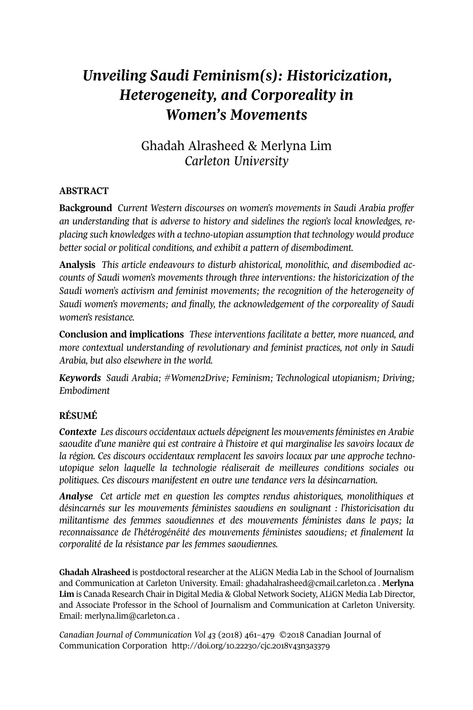# *Unveiling Saudi Feminism(s): Historicization, Heterogeneity, and Corporeality in Women's Movements*

## Ghadah Alrasheed & Merlyna Lim *Carleton University*

## **ABSTRACT**

**Background** *Current Western discourses on women's movements in Saudi Arabia proffer an understanding that is adverse to history and sidelines the region's local knowledges, replacing such knowledges with a techno-utopian assumption that technology would produce better social or political conditions, and exhibit a pattern of disembodiment.* 

**Analysis** *This article endeavours to disturb ahistorical, monolithic, and disembodied accounts of Saudi women's movements through three interventions: the historicization of the Saudi women's activism and feminist movements; the recognition of the heterogeneity of Saudi women's movements; and finally, the acknowledgement of the corporeality of Saudi women's resistance.*

**Conclusion and implications** *These interventions facilitate a better, more nuanced, and more contextual understanding of revolutionary and feminist practices, not only in Saudi Arabia, but also elsewhere in the world.* 

*Keywords Saudi Arabia; #Women2Drive; Feminism; Technological utopianism; Driving; Embodiment*

## **RÉSUMÉ**

*Contexte Les discours occidentaux actuels dépeignent les mouvements féministes en Arabie saoudite d'une manière qui est contraire à l'histoire et qui marginalise les savoirs locaux de la région. Ces discours occidentaux remplacent les savoirs locaux par une approche technoutopique selon laquelle la technologie réaliserait de meilleures conditions sociales ou politiques. Ces discours manifestent en outre une tendance vers la désincarnation.* 

*Analyse Cet article met en question les comptes rendus ahistoriques, monolithiques et désincarnés sur les mouvements féministes saoudiens en soulignant : l'historicisation du militantisme des femmes saoudiennes et des mouvements féministes dans le pays; la reconnaissance de l'hétérogénéité des mouvements féministes saoudiens; et finalement la corporalité de la résistance par les femmes saoudiennes.*

**Ghadah Alrasheed** is postdoctoral researcher at the ALiGN Media Lab in the School of Journalism and Communication at Carleton University. Email: [ghadahalrasheed@cmail.carleton.ca](mailto:ghadahalrasheed@cmail.carleton.ca) . **Merlyna Lim** is Canada Research Chair in Digital Media & Global Network Society, ALiGN Media Lab Director, and Associate Professor in the School of Journalism and Communication at Carleton University. Email: [merlyna.lim@carleton.ca](mailto:Merlyna.Lim@carleton.ca) .

*[Canadian Journal of Communication](http://www.cjc-online.ca) Vol 43* (2018) 461–479 ©2018 Canadian Journal of Communication Corporation [http://doi.org/10.22230/cjc.2018v43n3a3379](http://doi.org/10.22230/cjc.2018v43n3aXXXX)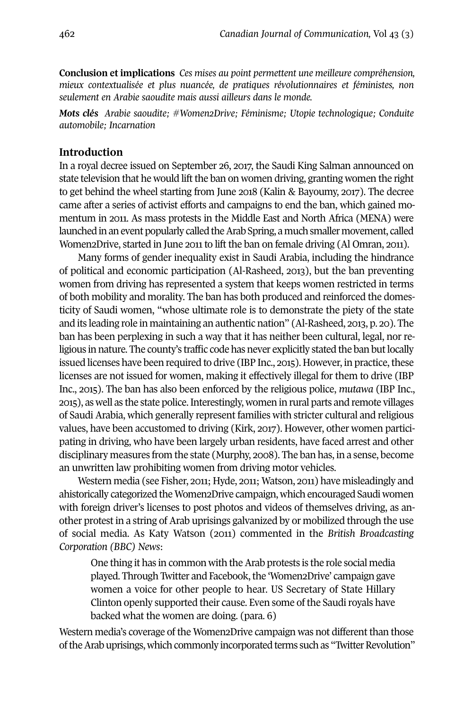**Conclusion et implications** *Ces mises au point permettent une meilleure compréhension, mieux contextualisée et plus nuancée, de pratiques révolutionnaires et féministes, non seulement en Arabie saoudite mais aussi ailleurs dans le monde.* 

*Mots clés Arabie saoudite; #Women2Drive; Féminisme; Utopie technologique; Conduite automobile; Incarnation*

#### **Introduction**

In a royal decree issued on September 26, 2017, the Saudi King Salman announced on state television that he would lift the ban on women driving, granting women the right to get behind the wheel starting from June 2018 (Kalin & Bayoumy, 2017). The decree came after a series of activist efforts and campaigns to end the ban, which gained momentum in 2011. As mass protests in the Middle East and North Africa (MENA) were launched in an event popularly called the Arab Spring, a much smaller movement, called Women2Drive, started in June 2011 to lift the ban on female driving (Al Omran, 2011).

Many forms of gender inequality exist in Saudi Arabia, including the hindrance of political and economic participation (Al-Rasheed, 2013), but the ban preventing women from driving has represented a system that keeps women restricted in terms of both mobility and morality. The ban has both produced and reinforced the domesticity of Saudi women, "whose ultimate role is to demonstrate the piety of the state and its leading role in maintaining an authentic nation" (Al-Rasheed, 2013, p. 20). The ban has been perplexing in such a way that it has neither been cultural, legal, nor religious in nature. The county's traffic code has never explicitly stated the ban but locally issued licenses have been required to drive (IBP Inc., 2015). However, in practice, these licenses are not issued for women, making it effectively illegal for them to drive (IBP Inc., 2015). The ban has also been enforced by the religious police, *mutawa* (IBP Inc., 2015), as well as the state police. Interestingly, women in rural parts and remote villages of Saudi Arabia, which generally represent families with stricter cultural and religious values, have been accustomed to driving (Kirk, 2017). However, other women participating in driving, who have been largely urban residents, have faced arrest and other disciplinary measures from the state (Murphy, 2008). The ban has, in a sense, become an unwritten law prohibiting women from driving motor vehicles.

Western media (see Fisher, 2011; Hyde, 2011; Watson, 2011) have misleadingly and ahistorically categorized the Women2Drive campaign, which encouraged Saudi women with foreign driver's licenses to post photos and videos of themselves driving, as another protest in a string of Arab uprisings galvanized by or mobilized through the use of social media. As Katy Watson (2011) commented in the *British Broadcasting Corporation (BBC) News*:

One thing it has in common with the Arab protests is the role social media played. Through Twitter and Facebook, the 'Women2Drive' campaign gave women a voice for other people to hear. US Secretary of State Hillary Clinton openly supported their cause. Even some of the Saudi royals have backed what the women are doing. (para. 6)

Western media's coverage of the Women2Drive campaign was not different than those of the Arab uprisings, which commonly incorporated terms such as "Twitter Revolution"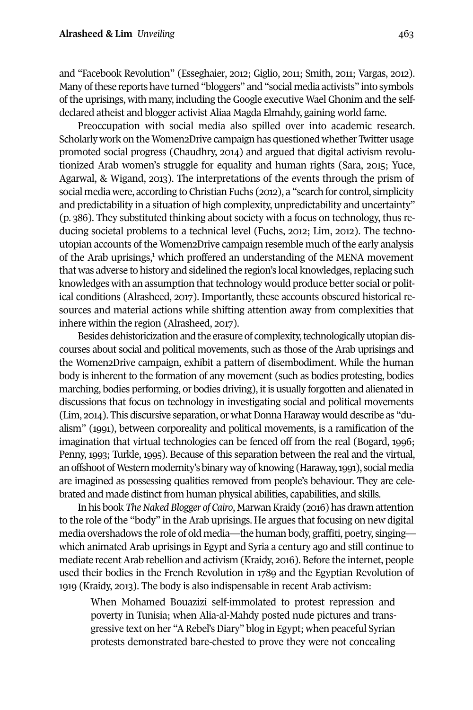and "Facebook Revolution" (Esseghaier, 2012; Giglio, 2011; Smith, 2011; Vargas, 2012). Many of these reports have turned "bloggers" and "social media activists" into symbols of the uprisings, with many, including the Google executive Wael Ghonim and the selfdeclared atheist and blogger activist Aliaa Magda Elmahdy, gaining world fame.

Preoccupation with social media also spilled over into academic research. Scholarly work on the Women2Drive campaign has questioned whether Twitter usage promoted social progress (Chaudhry, 2014) and argued that digital activism revolutionized Arab women's struggle for equality and human rights (Sara, 2015; Yuce, Agarwal, & Wigand, 2013). The interpretations of the events through the prism of social media were, according to Christian Fuchs (2012), a "search for control, simplicity and predictability in a situation of high complexity, unpredictability and uncertainty" (p. 386). They substituted thinking about society with a focus on technology, thus reducing societal problems to a technical level (Fuchs, 2012; Lim, 2012). The technoutopian accounts of the Women2Drive campaign resemble much of the early analysis of the Arab uprisings,<sup>1</sup> which proffered an understanding of the MENA movement that was adverse to history and sidelined the region's local knowledges, replacing such knowledges with an assumption that technology would produce better social or political conditions (Alrasheed, 2017). Importantly, these accounts obscured historical resources and material actions while shifting attention away from complexities that inhere within the region (Alrasheed, 2017).

Besides dehistoricization and the erasure of complexity, technologically utopian discourses about social and political movements, such as those of the Arab uprisings and the Women2Drive campaign, exhibit a pattern of disembodiment. While the human body is inherent to the formation of any movement (such as bodies protesting, bodies marching, bodies performing, or bodies driving), it is usually forgotten and alienated in discussions that focus on technology in investigating social and political movements (Lim, 2014). This discursive separation, or what Donna Haraway would describe as "dualism" (1991), between corporeality and political movements, is a ramification of the imagination that virtual technologies can be fenced off from the real (Bogard, 1996; Penny, 1993; Turkle, 1995). Because of this separation between the real and the virtual, an offshoot of Western modernity's binary way of knowing (Haraway, 1991), social media are imagined as possessing qualities removed from people's behaviour. They are celebrated and made distinct from human physical abilities, capabilities, and skills.

In his book *The Naked Blogger of Cairo*, Marwan Kraidy (2016) has drawn attention to the role of the "body" in the Arab uprisings. He argues that focusing on new digital media overshadows the role of old media—the human body, graffiti, poetry, singing which animated Arab uprisings in Egypt and Syria a century ago and still continue to mediate recent Arab rebellion and activism (Kraidy, 2016). Before the internet, people used their bodies in the French Revolution in 1789 and the Egyptian Revolution of 1919 (Kraidy, 2013). The body is also indispensable in recent Arab activism:

When Mohamed Bouazizi self-immolated to protest repression and poverty in Tunisia; when Alia-al-Mahdy posted nude pictures and transgressive text on her "A Rebel's Diary" blog in Egypt; when peaceful Syrian protests demonstrated bare-chested to prove they were not concealing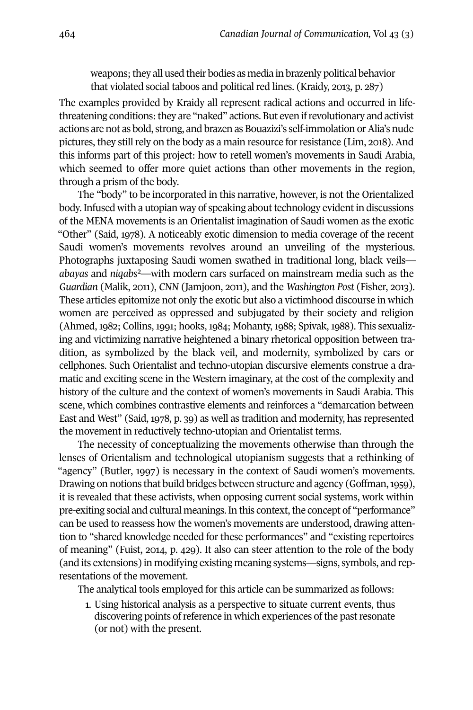weapons; they all used their bodies as media in brazenly political behavior that violated social taboos and political red lines. (Kraidy, 2013, p. 287)

The examples provided by Kraidy all represent radical actions and occurred in lifethreatening conditions: they are "naked" actions. But even if revolutionary and activist actions are not as bold, strong, and brazen as Bouazizi's self-immolation or Alia's nude pictures, they still rely on the body as a main resource for resistance (Lim, 2018). And this informs part of this project: how to retell women's movements in Saudi Arabia, which seemed to offer more quiet actions than other movements in the region, through a prism of the body.

The "body" to be incorporated in this narrative, however, is not the Orientalized body. Infused with a utopian way of speaking about technology evident in discussions of the MENA movements is an Orientalist imagination of Saudi women as the exotic "Other" (Said, 1978). A noticeably exotic dimension to media coverage of the recent Saudi women's movements revolves around an unveiling of the mysterious. Photographs juxtaposing Saudi women swathed in traditional long, black veils *abayas* and *niqabs*[2—](#page-14-1)with modern cars surfaced on mainstream media such as the *Guardian* (Malik, 2011), *CNN* (Jamjoon, 2011), and the *Washington Post* (Fisher, 2013). These articles epitomize not only the exotic but also a victimhood discourse in which women are perceived as oppressed and subjugated by their society and religion (Ahmed, 1982; Collins, 1991; hooks, 1984; Mohanty, 1988; Spivak, 1988). This sexualizing and victimizing narrative heightened a binary rhetorical opposition between tradition, as symbolized by the black veil, and modernity, symbolized by cars or cellphones. Such Orientalist and techno-utopian discursive elements construe a dramatic and exciting scene in the Western imaginary, at the cost of the complexity and history of the culture and the context of women's movements in Saudi Arabia. This scene, which combines contrastive elements and reinforces a "demarcation between East and West" (Said, 1978, p. 39) as well as tradition and modernity, has represented the movement in reductively techno-utopian and Orientalist terms.

The necessity of conceptualizing the movements otherwise than through the lenses of Orientalism and technological utopianism suggests that a rethinking of "agency" (Butler, 1997) is necessary in the context of Saudi women's movements. Drawing on notions that build bridges between structure and agency (Goffman, 1959), it is revealed that these activists, when opposing current social systems, work within pre-exiting social and cultural meanings. In this context, the concept of "performance" can be used to reassess how the women's movements are understood, drawing attention to "shared knowledge needed for these performances" and "existing repertoires of meaning" (Fuist, 2014, p. 429). It also can steer attention to the role of the body (and its extensions) in modifying existing meaning systems—signs, symbols, and representations of the movement.

The analytical tools employed for this article can be summarized as follows:

1. Using historical analysis as a perspective to situate current events, thus discovering points of reference in which experiences of the past resonate (or not) with the present.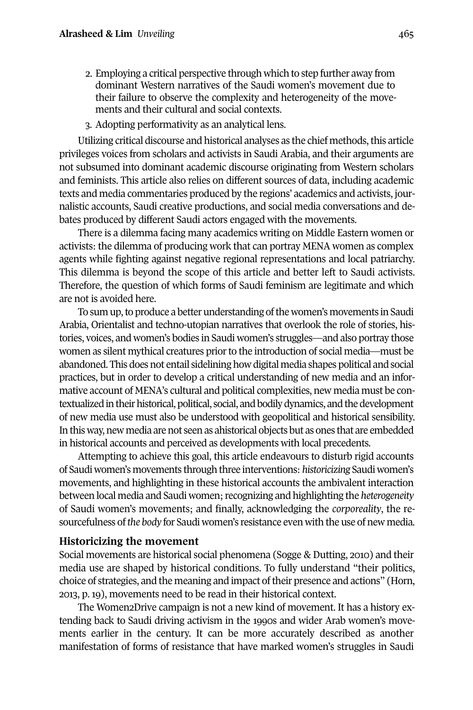- 2. Employing a critical perspective through which to step further away from dominant Western narratives of the Saudi women's movement due to their failure to observe the complexity and heterogeneity of the movements and their cultural and social contexts.
- 3. Adopting performativity as an analytical lens.

Utilizing critical discourse and historical analyses as the chief methods, this article privileges voices from scholars and activists in Saudi Arabia, and their arguments are not subsumed into dominant academic discourse originating from Western scholars and feminists. This article also relies on different sources of data, including academic texts and media commentaries produced by the regions' academics and activists, journalistic accounts, Saudi creative productions, and social media conversations and debates produced by different Saudi actors engaged with the movements.

There is a dilemma facing many academics writing on Middle Eastern women or activists: the dilemma of producing work that can portray MENA women as complex agents while fighting against negative regional representations and local patriarchy. This dilemma is beyond the scope of this article and better left to Saudi activists. Therefore, the question of which forms of Saudi feminism are legitimate and which are not is avoided here.

To sum up, to produce a better understanding of the women's movements in Saudi Arabia, Orientalist and techno-utopian narratives that overlook the role of stories, histories, voices, and women's bodies in Saudi women's struggles—and also portray those women as silent mythical creatures prior to the introduction of social media—must be abandoned. This does not entail sidelining how digital media shapes political and social practices, but in order to develop a critical understanding of new media and an informative account of MENA's cultural and political complexities, new media must be contextualized in their historical, political, social, and bodily dynamics, and the development of new media use must also be understood with geopolitical and historical sensibility. In this way, new media are not seen as ahistorical objects but as ones that are embedded in historical accounts and perceived as developments with local precedents.

Attempting to achieve this goal, this article endeavours to disturb rigid accounts of Saudi women's movements through three interventions: *historicizing* Saudi women's movements, and highlighting in these historical accounts the ambivalent interaction between local media and Saudi women; recognizing and highlighting the *heterogeneity*  of Saudi women's movements; and finally, acknowledging the *corporeality*, the resourcefulness of *the body* for Saudi women's resistance even with the use of new media.

## **Historicizing the movement**

Social movements are historical social phenomena (Sogge & Dutting, 2010) and their media use are shaped by historical conditions. To fully understand "their politics, choice of strategies, and the meaning and impact of their presence and actions" (Horn, 2013, p. 19), movements need to be read in their historical context.

The Women2Drive campaign is not a new kind of movement. It has a history extending back to Saudi driving activism in the 1990s and wider Arab women's movements earlier in the century. It can be more accurately described as another manifestation of forms of resistance that have marked women's struggles in Saudi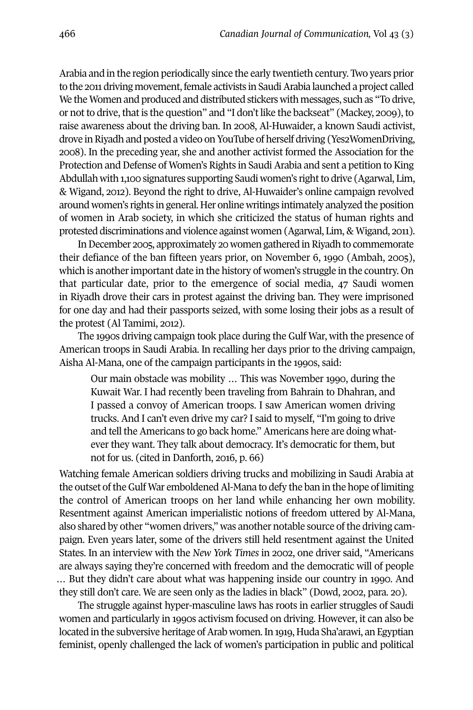Arabia and in the region periodically since the early twentieth century. Two years prior to the 2011 driving movement, female activists in Saudi Arabia launched a project called We the Women and produced and distributed stickers with messages, such as "To drive, or not to drive, that is the question" and "I don't like the backseat" (Mackey, 2009), to raise awareness about the driving ban. In 2008, Al-Huwaider, a known Saudi activist, drove in Riyadh and posted a video on YouTube of herself driving (Yes2WomenDriving, 2008). In the preceding year, she and another activist formed the Association for the Protection and Defense of Women's Rights in Saudi Arabia and sent a petition to King Abdullah with 1,100 signatures supporting Saudi women's right to drive (Agarwal, Lim, & Wigand, 2012). Beyond the right to drive, Al-Huwaider's online campaign revolved around women's rights in general. Her online writings intimately analyzed the position of women in Arab society, in which she criticized the status of human rights and protested discriminations and violence against women (Agarwal, Lim, & Wigand, 2011).

In December 2005, approximately 20 women gathered in Riyadh to commemorate their defiance of the ban fifteen years prior, on November 6, 1990 (Ambah, 2005), which is another important date in the history of women's struggle in the country. On that particular date, prior to the emergence of social media, 47 Saudi women in Riyadh drove their cars in protest against the driving ban. They were imprisoned for one day and had their passports seized, with some losing their jobs as a result of the protest (Al Tamimi, 2012).

The 1990s driving campaign took place during the Gulf War, with the presence of American troops in Saudi Arabia. In recalling her days prior to the driving campaign, Aisha Al-Mana, one of the campaign participants in the 1990s, said:

Our main obstacle was mobility … This was November 1990, during the Kuwait War. I had recently been traveling from Bahrain to Dhahran, and I passed a convoy of American troops. I saw American women driving trucks. And I can't even drive my car? I said to myself, "I'm going to drive and tell the Americans to go back home." Americans here are doing whatever they want. They talk about democracy. It's democratic for them, but not for us. (cited in Danforth, 2016, p. 66)

Watching female American soldiers driving trucks and mobilizing in Saudi Arabia at the outset of the Gulf War emboldened Al-Mana to defy the ban in the hope of limiting the control of American troops on her land while enhancing her own mobility. Resentment against American imperialistic notions of freedom uttered by Al-Mana, also shared by other "women drivers," was another notable source of the driving campaign. Even years later, some of the drivers still held resentment against the United States. In an interview with the *New York Times* in 2002, one driver said, "Americans are always saying they're concerned with freedom and the democratic will of people … But they didn't care about what was happening inside our country in 1990. And they still don't care. We are seen only as the ladies in black" (Dowd, 2002, para. 20).

The struggle against hyper-masculine laws has roots in earlier struggles of Saudi women and particularly in 1990s activism focused on driving. However, it can also be located in the subversive heritage of Arab women. In 1919, Huda Sha'arawi, an Egyptian feminist, openly challenged the lack of women's participation in public and political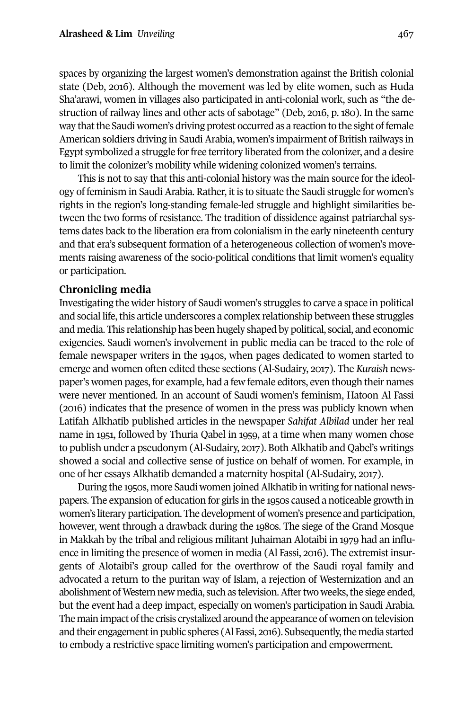spaces by organizing the largest women's demonstration against the British colonial state (Deb, 2016). Although the movement was led by elite women, such as Huda Sha'arawi, women in villages also participated in anti-colonial work, such as "the destruction of railway lines and other acts of sabotage" (Deb, 2016, p. 180). In the same way that the Saudi women's driving protest occurred as a reaction to the sight of female American soldiers driving in Saudi Arabia, women's impairment of British railways in Egypt symbolized a struggle for free territory liberated from the colonizer, and a desire to limit the colonizer's mobility while widening colonized women's terrains.

This is not to say that this anti-colonial history was the main source for the ideology of feminism in Saudi Arabia. Rather, it is to situate the Saudi struggle for women's rights in the region's long-standing female-led struggle and highlight similarities between the two forms of resistance. The tradition of dissidence against patriarchal systems dates back to the liberation era from colonialism in the early nineteenth century and that era's subsequent formation of a heterogeneous collection of women's movements raising awareness of the socio-political conditions that limit women's equality or participation.

#### **Chronicling media**

Investigating the wider history of Saudi women's struggles to carve a space in political and social life, this article underscores a complex relationship between these struggles and media. This relationship has been hugely shaped by political, social, and economic exigencies. Saudi women's involvement in public media can be traced to the role of female newspaper writers in the 1940s, when pages dedicated to women started to emerge and women often edited these sections (Al-Sudairy, 2017). The *Kuraish* newspaper's women pages, for example, had a few female editors, even though their names were never mentioned. In an account of Saudi women's feminism, Hatoon Al Fassi (2016) indicates that the presence of women in the press was publicly known when Latifah Alkhatib published articles in the newspaper *Sahifat Albilad* under her real name in 1951, followed by Thuria Qabel in 1959, at a time when many women chose to publish under a pseudonym (Al-Sudairy, 2017). Both Alkhatib and Qabel's writings showed a social and collective sense of justice on behalf of women. For example, in one of her essays Alkhatib demanded a maternity hospital (Al-Sudairy, 2017).

During the 1950s, more Saudi women joined Alkhatib in writing for national newspapers. The expansion of education for girls in the 1950s caused a noticeable growth in women's literary participation. The development of women's presence and participation, however, went through a drawback during the 1980s. The siege of the Grand Mosque in Makkah by the tribal and religious militant Juhaiman Alotaibi in 1979 had an influence in limiting the presence of women in media (Al Fassi, 2016). The extremist insurgents of Alotaibi's group called for the overthrow of the Saudi royal family and advocated a return to the puritan way of Islam, a rejection of Westernization and an abolishment of Western new media, such as television. After two weeks, the siege ended, but the event had a deep impact, especially on women's participation in Saudi Arabia. The main impact of the crisis crystalized around the appearance of women on television and their engagement in public spheres (Al Fassi, 2016). Subsequently, the media started to embody a restrictive space limiting women's participation and empowerment.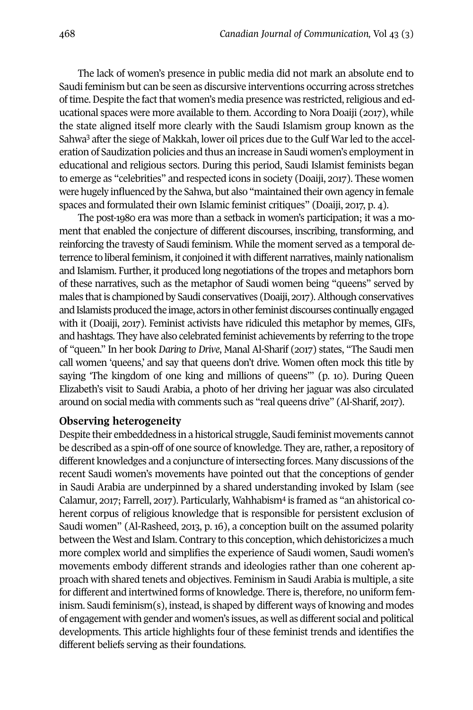The lack of women's presence in public media did not mark an absolute end to Saudi feminism but can be seen as discursive interventions occurring across stretches of time. Despite the fact that women's media presence was restricted, religious and educational spaces were more available to them. According to Nora Doaiji (2017), while the state aligned itself more clearly with the Saudi Islamism group known as the Sahwa<sup>3</sup> after the siege of Makkah, lower oil prices due to the Gulf War led to the acceleration of Saudization policies and thus an increase in Saudi women's employment in educational and religious sectors. During this period, Saudi Islamist feminists began to emerge as "celebrities" and respected icons in society (Doaiji, 2017). These women were hugely influenced by the Sahwa, but also "maintained their own agency in female spaces and formulated their own Islamic feminist critiques" (Doaiji, 2017, p. 4).

The post-1980 era was more than a setback in women's participation; it was a moment that enabled the conjecture of different discourses, inscribing, transforming, and reinforcing the travesty of Saudi feminism. While the moment served as a temporal deterrence to liberal feminism, it conjoined it with different narratives, mainly nationalism and Islamism. Further, it produced long negotiations of the tropes and metaphors born of these narratives, such as the metaphor of Saudi women being "queens" served by males that is championed by Saudi conservatives (Doaiji, 2017). Although conservatives and Islamists produced the image, actors in other feminist discourses continually engaged with it (Doaiji, 2017). Feminist activists have ridiculed this metaphor by memes, GIFs, and hashtags. They have also celebrated feminist achievements by referring to the trope of "queen." In her book *Daring to Drive*, Manal Al-Sharif (2017) states, "The Saudi men call women 'queens,' and say that queens don't drive. Women often mock this title by saying 'The kingdom of one king and millions of queens'" (p. 10). During Queen Elizabeth's visit to Saudi Arabia, a photo of her driving her jaguar was also circulated around on social media with comments such as "real queens drive" (Al-Sharif, 2017).

## **Observing heterogeneity**

Despite their embeddedness in a historical struggle, Saudi feminist movements cannot be described as a spin-off of one source of knowledge. They are, rather, a repository of different knowledges and a conjuncture of intersecting forces. Many discussions of the recent Saudi women's movements have pointed out that the conceptions of gender in Saudi Arabia are underpinned by a shared understanding invoked by Islam (see Calamur, 2017; Farrell, 2017). Particularly, Wahhabis[m4](#page-15-1) is framed as "an ahistorical coherent corpus of religious knowledge that is responsible for persistent exclusion of Saudi women" (Al-Rasheed, 2013, p. 16), a conception built on the assumed polarity between the West and Islam. Contrary to this conception, which dehistoricizes a much more complex world and simplifies the experience of Saudi women, Saudi women's movements embody different strands and ideologies rather than one coherent approach with shared tenets and objectives. Feminism in Saudi Arabia is multiple, a site for different and intertwined forms of knowledge. There is, therefore, no uniform feminism. Saudi feminism(s), instead, is shaped by different ways of knowing and modes of engagement with gender and women's issues, as well as different social and political developments. This article highlights four of these feminist trends and identifies the different beliefs serving as their foundations.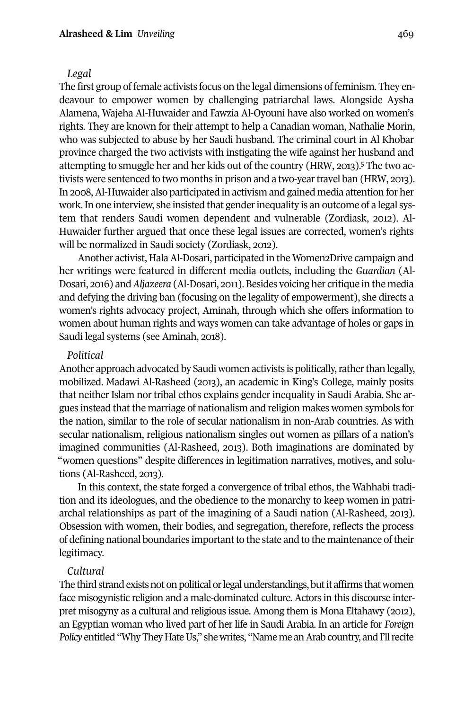#### *Legal*

The first group of female activists focus on the legal dimensions of feminism. They endeavour to empower women by challenging patriarchal laws. Alongside Aysha Alamena, Wajeha Al-Huwaider and Fawzia Al-Oyouni have also worked on women's rights. They are known for their attempt to help a Canadian woman, Nathalie Morin, who was subjected to abuse by her Saudi husband. The criminal court in Al Khobar province charged the two activists with instigating the wife against her husband and attempting to smuggle her and her kids out of the country (HRW, 2013).<sup>5</sup> The two activists were sentenced to two months in prison and a two-year travel ban (HRW, 2013). In 2008, Al-Huwaider also participated in activism and gained media attention for her work. In one interview, she insisted that gender inequality is an outcome of a legal system that renders Saudi women dependent and vulnerable (Zordiask, 2012). Al-Huwaider further argued that once these legal issues are corrected, women's rights will be normalized in Saudi society (Zordiask, 2012).

Another activist, Hala Al-Dosari, participated in the Women2Drive campaign and her writings were featured in different media outlets, including the *Guardian* (Al-Dosari, 2016) and *Aljazeera* (Al-Dosari, 2011). Besides voicing her critique in the media and defying the driving ban (focusing on the legality of empowerment), she directs a women's rights advocacy project, Aminah, through which she offers information to women about human rights and ways women can take advantage of holes or gaps in Saudi legal systems (see Aminah, 2018).

#### *Political*

Another approach advocated by Saudi women activists is politically, rather than legally, mobilized. Madawi Al-Rasheed (2013), an academic in King's College, mainly posits that neither Islam nor tribal ethos explains gender inequality in Saudi Arabia. She argues instead that the marriage of nationalism and religion makes women symbols for the nation, similar to the role of secular nationalism in non-Arab countries. As with secular nationalism, religious nationalism singles out women as pillars of a nation's imagined communities (Al-Rasheed, 2013). Both imaginations are dominated by "women questions" despite differences in legitimation narratives, motives, and solutions (Al-Rasheed, 2013).

In this context, the state forged a convergence of tribal ethos, the Wahhabi tradition and its ideologues, and the obedience to the monarchy to keep women in patriarchal relationships as part of the imagining of a Saudi nation (Al-Rasheed, 2013). Obsession with women, their bodies, and segregation, therefore, reflects the process of defining national boundaries important to the state and to the maintenance of their legitimacy.

#### *Cultural*

The third strand exists not on political or legal understandings, but it affirms that women face misogynistic religion and a male-dominated culture. Actors in this discourse interpret misogyny as a cultural and religious issue. Among them is Mona Eltahawy (2012), an Egyptian woman who lived part of her life in Saudi Arabia. In an article for *Foreign Policy* entitled "Why They Hate Us," she writes, "Name me an Arab country, and I'll recite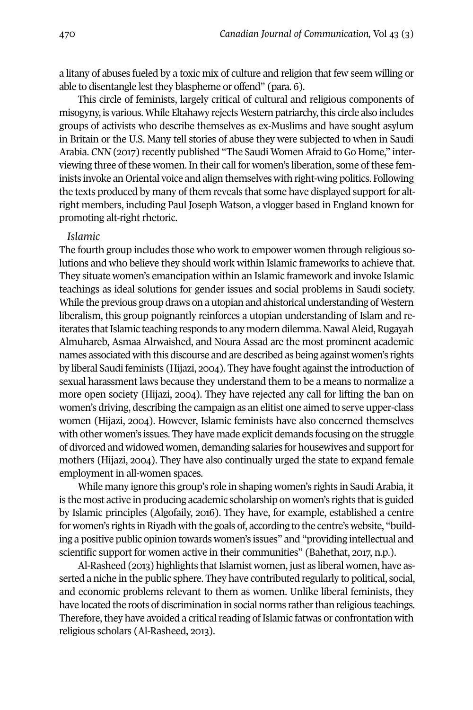a litany of abuses fueled by a toxic mix of culture and religion that few seem willing or able to disentangle lest they blaspheme or offend" (para. 6).

This circle of feminists, largely critical of cultural and religious components of misogyny, is various. While Eltahawy rejects Western patriarchy, this circle also includes groups of activists who describe themselves as ex-Muslims and have sought asylum in Britain or the U.S. Many tell stories of abuse they were subjected to when in Saudi Arabia. *CNN* (2017) recently published "The Saudi Women Afraid to Go Home," interviewing three of these women. In their call for women's liberation, some of these feminists invoke an Oriental voice and align themselves with right-wing politics. Following the texts produced by many of them reveals that some have displayed support for altright members, including Paul Joseph Watson, a vlogger based in England known for promoting alt-right rhetoric.

#### *Islamic*

The fourth group includes those who work to empower women through religious solutions and who believe they should work within Islamic frameworks to achieve that. They situate women's emancipation within an Islamic framework and invoke Islamic teachings as ideal solutions for gender issues and social problems in Saudi society. While the previous group draws on a utopian and ahistorical understanding of Western liberalism, this group poignantly reinforces a utopian understanding of Islam and reiterates that Islamic teaching responds to any modern dilemma. Nawal Aleid, Rugayah Almuhareb, Asmaa Alrwaished, and Noura Assad are the most prominent academic names associated with this discourse and are described as being against women's rights by liberal Saudi feminists (Hijazi, 2004). They have fought against the introduction of sexual harassment laws because they understand them to be a means to normalize a more open society (Hijazi, 2004). They have rejected any call for lifting the ban on women's driving, describing the campaign as an elitist one aimed to serve upper-class women (Hijazi, 2004). However, Islamic feminists have also concerned themselves with other women's issues. They have made explicit demands focusing on the struggle of divorced and widowed women, demanding salaries for housewives and support for mothers (Hijazi, 2004). They have also continually urged the state to expand female employment in all-women spaces.

While many ignore this group's role in shaping women's rights in Saudi Arabia, it is the most active in producing academic scholarship on women's rights that is guided by Islamic principles (Algofaily, 2016). They have, for example, established a centre for women's rights in Riyadh with the goals of, according to the centre's website, "building a positive public opinion towards women's issues" and "providing intellectual and scientific support for women active in their communities" (Bahethat, 2017, n.p.).

Al-Rasheed (2013) highlights that Islamist women, just as liberal women, have asserted a niche in the public sphere. They have contributed regularly to political, social, and economic problems relevant to them as women. Unlike liberal feminists, they have located the roots of discrimination in social norms rather than religious teachings. Therefore, they have avoided a critical reading of Islamic fatwas or confrontation with religious scholars (Al-Rasheed, 2013).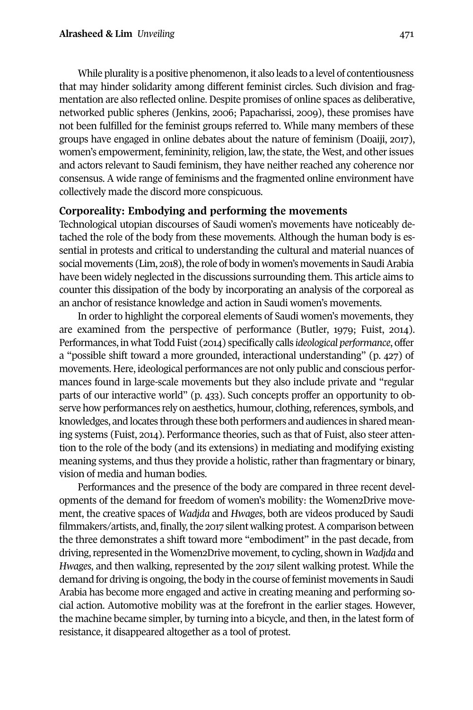While plurality is a positive phenomenon, it also leads to a level of contentiousness that may hinder solidarity among different feminist circles. Such division and fragmentation are also reflected online. Despite promises of online spaces as deliberative, networked public spheres (Jenkins, 2006; Papacharissi, 2009), these promises have not been fulfilled for the feminist groups referred to. While many members of these groups have engaged in online debates about the nature of feminism (Doaiji, 2017), women's empowerment, femininity, religion, law, the state, the West, and other issues and actors relevant to Saudi feminism, they have neither reached any coherence nor consensus. A wide range of feminisms and the fragmented online environment have collectively made the discord more conspicuous.

#### **Corporeality: Embodying and performing the movements**

Technological utopian discourses of Saudi women's movements have noticeably detached the role of the body from these movements. Although the human body is essential in protests and critical to understanding the cultural and material nuances of social movements (Lim, 2018), the role of body in women's movements in Saudi Arabia have been widely neglected in the discussions surrounding them. This article aims to counter this dissipation of the body by incorporating an analysis of the corporeal as an anchor of resistance knowledge and action in Saudi women's movements.

In order to highlight the corporeal elements of Saudi women's movements, they are examined from the perspective of performance (Butler, 1979; Fuist, 2014). Performances, in what Todd Fuist (2014) specifically calls *ideological performance*, offer a "possible shift toward a more grounded, interactional understanding" (p. 427) of movements. Here, ideological performances are not only public and conscious performances found in large-scale movements but they also include private and "regular parts of our interactive world" (p. 433). Such concepts proffer an opportunity to observe how performances rely on aesthetics, humour, clothing, references, symbols, and knowledges, and locates through these both performers and audiences in shared meaning systems (Fuist, 2014). Performance theories, such as that of Fuist, also steer attention to the role of the body (and its extensions) in mediating and modifying existing meaning systems, and thus they provide a holistic, rather than fragmentary or binary, vision of media and human bodies.

Performances and the presence of the body are compared in three recent developments of the demand for freedom of women's mobility: the Women2Drive movement, the creative spaces of *Wadjda* and *Hwages*, both are videos produced by Saudi filmmakers/artists, and, finally, the 2017 silent walking protest. A comparison between the three demonstrates a shift toward more "embodiment" in the past decade, from driving, represented in the Women2Drive movement, to cycling, shown in *Wadjda* and *Hwages*, and then walking, represented by the 2017 silent walking protest. While the demand for driving is ongoing, the body in the course of feminist movements in Saudi Arabia has become more engaged and active in creating meaning and performing social action. Automotive mobility was at the forefront in the earlier stages. However, the machine became simpler, by turning into a bicycle, and then, in the latest form of resistance, it disappeared altogether as a tool of protest.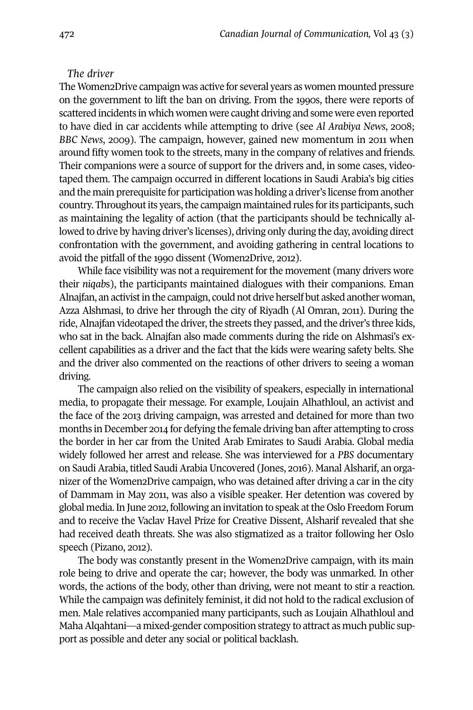#### *The driver*

The Women2Drive campaign was active for several years as women mounted pressure on the government to lift the ban on driving. From the 1990s, there were reports of scattered incidents in which women were caught driving and some were even reported to have died in car accidents while attempting to drive (see *Al Arabiya News*, 2008; *BBC News*, 2009). The campaign, however, gained new momentum in 2011 when around fifty women took to the streets, many in the company of relatives and friends. Their companions were a source of support for the drivers and, in some cases, videotaped them. The campaign occurred in different locations in Saudi Arabia's big cities and the main prerequisite for participation was holding a driver's license from another country. Throughout its years, the campaign maintained rules for its participants, such as maintaining the legality of action (that the participants should be technically allowed to drive by having driver's licenses), driving only during the day, avoiding direct confrontation with the government, and avoiding gathering in central locations to avoid the pitfall of the 1990 dissent (Women2Drive, 2012).

While face visibility was not a requirement for the movement (many drivers wore their *niqab*s), the participants maintained dialogues with their companions. Eman Alnajfan, an activist in the campaign, could not drive herself but asked another woman, Azza Alshmasi, to drive her through the city of Riyadh (Al Omran, 2011). During the ride, Alnajfan videotaped the driver, the streets they passed, and the driver's three kids, who sat in the back. Alnajfan also made comments during the ride on Alshmasi's excellent capabilities as a driver and the fact that the kids were wearing safety belts. She and the driver also commented on the reactions of other drivers to seeing a woman driving.

The campaign also relied on the visibility of speakers, especially in international media, to propagate their message. For example, Loujain Alhathloul, an activist and the face of the 2013 driving campaign, was arrested and detained for more than two months in December 2014 for defying the female driving ban after attempting to cross the border in her car from the United Arab Emirates to Saudi Arabia. Global media widely followed her arrest and release. She was interviewed for a *PBS* documentary on Saudi Arabia, titled Saudi Arabia Uncovered (Jones, 2016). Manal Alsharif, an organizer of the Women2Drive campaign, who was detained after driving a car in the city of Dammam in May 2011, was also a visible speaker. Her detention was covered by global media. In June 2012, following an invitation to speak at the Oslo Freedom Forum and to receive the Vaclav Havel Prize for Creative Dissent, Alsharif revealed that she had received death threats. She was also stigmatized as a traitor following her Oslo speech (Pizano, 2012).

The body was constantly present in the Women2Drive campaign, with its main role being to drive and operate the car; however, the body was unmarked. In other words, the actions of the body, other than driving, were not meant to stir a reaction. While the campaign was definitely feminist, it did not hold to the radical exclusion of men. Male relatives accompanied many participants, such as Loujain Alhathloul and Maha Alqahtani—a mixed-gender composition strategy to attract as much public support as possible and deter any social or political backlash.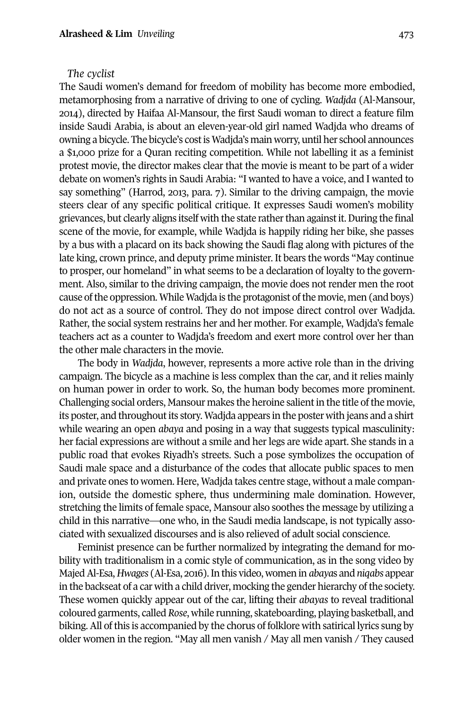#### *The cyclist*

The Saudi women's demand for freedom of mobility has become more embodied, metamorphosing from a narrative of driving to one of cycling. *Wadjda* (Al-Mansour, 2014), directed by Haifaa Al-Mansour, the first Saudi woman to direct a feature film inside Saudi Arabia, is about an eleven-year-old girl named Wadjda who dreams of owning a bicycle. The bicycle's cost is Wadjda's main worry, until her school announces a \$1,000 prize for a Quran reciting competition. While not labelling it as a feminist protest movie, the director makes clear that the movie is meant to be part of a wider debate on women's rights in Saudi Arabia: "I wanted to have a voice, and I wanted to say something" (Harrod, 2013, para. 7). Similar to the driving campaign, the movie steers clear of any specific political critique. It expresses Saudi women's mobility grievances, but clearly aligns itself with the state rather than against it. During the final scene of the movie, for example, while Wadjda is happily riding her bike, she passes by a bus with a placard on its back showing the Saudi flag along with pictures of the late king, crown prince, and deputy prime minister. It bears the words "May continue to prosper, our homeland" in what seems to be a declaration of loyalty to the government. Also, similar to the driving campaign, the movie does not render men the root cause of the oppression. While Wadjda is the protagonist of the movie, men (and boys) do not act as a source of control. They do not impose direct control over Wadjda. Rather, the social system restrains her and her mother. For example, Wadjda's female teachers act as a counter to Wadjda's freedom and exert more control over her than the other male characters in the movie.

The body in *Wadjda*, however, represents a more active role than in the driving campaign. The bicycle as a machine is less complex than the car, and it relies mainly on human power in order to work. So, the human body becomes more prominent. Challenging social orders, Mansour makes the heroine salient in the title of the movie, its poster, and throughout its story. Wadjda appears in the poster with jeans and a shirt while wearing an open *abaya* and posing in a way that suggests typical masculinity: her facial expressions are without a smile and her legs are wide apart. She stands in a public road that evokes Riyadh's streets. Such a pose symbolizes the occupation of Saudi male space and a disturbance of the codes that allocate public spaces to men and private ones to women. Here, Wadjda takes centre stage, without a male companion, outside the domestic sphere, thus undermining male domination. However, stretching the limits of female space, Mansour also soothes the message by utilizing a child in this narrative—one who, in the Saudi media landscape, is not typically associated with sexualized discourses and is also relieved of adult social conscience.

Feminist presence can be further normalized by integrating the demand for mobility with traditionalism in a comic style of communication, as in the song video by Majed Al-Esa, *Hwages* (Al-Esa, 2016). In this video, women in *abaya*s and *niqabs* appear in the backseat of a car with a child driver, mocking the gender hierarchy of the society. These women quickly appear out of the car, lifting their *abayas* to reveal traditional coloured garments, called *Rose*, while running, skateboarding, playing basketball, and biking. All of this is accompanied by the chorus of folklore with satirical lyrics sung by older women in the region. "May all men vanish / May all men vanish / They caused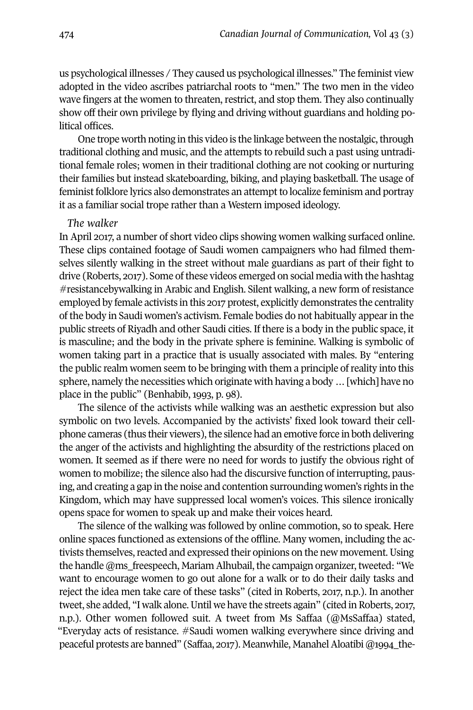us psychological illnesses / They caused us psychological illnesses." The feminist view adopted in the video ascribes patriarchal roots to "men." The two men in the video wave fingers at the women to threaten, restrict, and stop them. They also continually show off their own privilege by flying and driving without guardians and holding political offices.

One trope worth noting in this video is the linkage between the nostalgic, through traditional clothing and music, and the attempts to rebuild such a past using untraditional female roles; women in their traditional clothing are not cooking or nurturing their families but instead skateboarding, biking, and playing basketball. The usage of feminist folklore lyrics also demonstrates an attempt to localize feminism and portray it as a familiar social trope rather than a Western imposed ideology.

#### *The walker*

In April 2017, a number of short video clips showing women walking surfaced online. These clips contained footage of Saudi women campaigners who had filmed themselves silently walking in the street without male guardians as part of their fight to drive (Roberts, 2017). Some of these videos emerged on social media with the hashtag #resistancebywalking in Arabic and English. Silent walking, a new form of resistance employed by female activists in this 2017 protest, explicitly demonstrates the centrality of the body in Saudi women's activism. Female bodies do not habitually appear in the public streets of Riyadh and other Saudi cities. If there is a body in the public space, it is masculine; and the body in the private sphere is feminine. Walking is symbolic of women taking part in a practice that is usually associated with males. By "entering the public realm women seem to be bringing with them a principle of reality into this sphere, namely the necessities which originate with having a body … [which] have no place in the public" (Benhabib, 1993, p. 98).

The silence of the activists while walking was an aesthetic expression but also symbolic on two levels. Accompanied by the activists' fixed look toward their cellphone cameras (thus their viewers), the silence had an emotive force in both delivering the anger of the activists and highlighting the absurdity of the restrictions placed on women. It seemed as if there were no need for words to justify the obvious right of women to mobilize; the silence also had the discursive function of interrupting, pausing, and creating a gap in the noise and contention surrounding women's rights in the Kingdom, which may have suppressed local women's voices. This silence ironically opens space for women to speak up and make their voices heard.

The silence of the walking was followed by online commotion, so to speak. Here online spaces functioned as extensions of the offline. Many women, including the activists themselves, reacted and expressed their opinions on the new movement. Using the handle @ms\_freespeech, Mariam Alhubail, the campaign organizer, tweeted: "We want to encourage women to go out alone for a walk or to do their daily tasks and reject the idea men take care of these tasks" (cited in Roberts, 2017, n.p.). In another tweet, she added, "I walk alone. Until we have the streets again" (cited in Roberts, 2017, n.p.). Other women followed suit. A tweet from Ms Saffaa (@MsSaffaa) stated, "Everyday acts of resistance. #Saudi women walking everywhere since driving and peaceful protests are banned" (Saffaa, 2017). Meanwhile, Manahel Aloatibi @1994\_the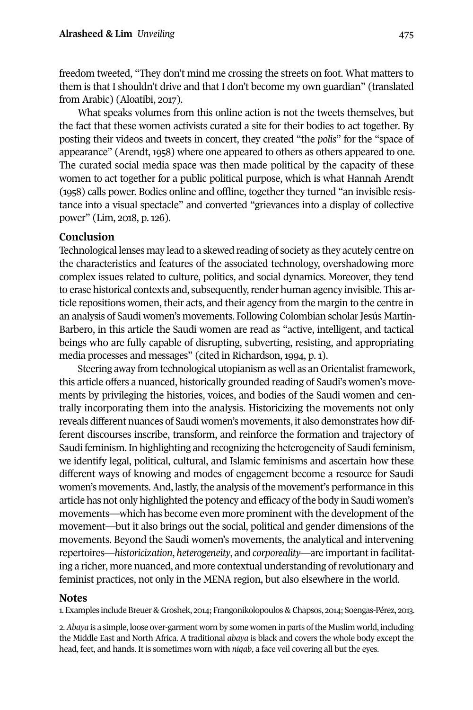freedom tweeted, "They don't mind me crossing the streets on foot. What matters to them is that I shouldn't drive and that I don't become my own guardian" (translated from Arabic) (Aloatibi, 2017).

What speaks volumes from this online action is not the tweets themselves, but the fact that these women activists curated a site for their bodies to act together. By posting their videos and tweets in concert, they created "the *polis*" for the "space of appearance" (Arendt, 1958) where one appeared to others as others appeared to one. The curated social media space was then made political by the capacity of these women to act together for a public political purpose, which is what Hannah Arendt (1958) calls power. Bodies online and offline, together they turned "an invisible resistance into a visual spectacle" and converted "grievances into a display of collective power" (Lim, 2018, p. 126).

## **Conclusion**

Technological lenses may lead to a skewed reading of society as they acutely centre on the characteristics and features of the associated technology, overshadowing more complex issues related to culture, politics, and social dynamics. Moreover, they tend to erase historical contexts and, subsequently, render human agency invisible. This article repositions women, their acts, and their agency from the margin to the centre in an analysis of Saudi women's movements. Following Colombian scholar Jesús Martín-Barbero, in this article the Saudi women are read as "active, intelligent, and tactical beings who are fully capable of disrupting, subverting, resisting, and appropriating media processes and messages" (cited in Richardson, 1994, p. 1).

Steering away from technological utopianism as well as an Orientalist framework, this article offers a nuanced, historically grounded reading of Saudi's women's movements by privileging the histories, voices, and bodies of the Saudi women and centrally incorporating them into the analysis. Historicizing the movements not only reveals different nuances of Saudi women's movements, it also demonstrates how different discourses inscribe, transform, and reinforce the formation and trajectory of Saudi feminism. In highlighting and recognizing the heterogeneity of Saudi feminism, we identify legal, political, cultural, and Islamic feminisms and ascertain how these different ways of knowing and modes of engagement become a resource for Saudi women's movements. And, lastly, the analysis of the movement's performance in this article has not only highlighted the potency and efficacy of the body in Saudi women's movements—which has become even more prominent with the development of the movement—but it also brings out the social, political and gender dimensions of the movements. Beyond the Saudi women's movements, the analytical and intervening repertoires—*historicization*, *heterogeneity*, and *corporeality*—are important in facilitating a richer, more nuanced, and more contextual understanding of revolutionary and feminist practices, not only in the MENA region, but also elsewhere in the world.

## **Notes**

<span id="page-14-1"></span><span id="page-14-0"></span>1. Examples include Breuer & Groshek, 2014; Frangonikolopoulos & Chapsos, 2014; Soengas-Pérez, 2013.

2. *Abaya* is a simple, loose over-garment worn by some women in parts of the Muslim world, including the Middle East and North Africa. A traditional *abaya* is black and covers the whole body except the head, feet, and hands. It is sometimes worn with *niqab*, a face veil covering all but the eyes.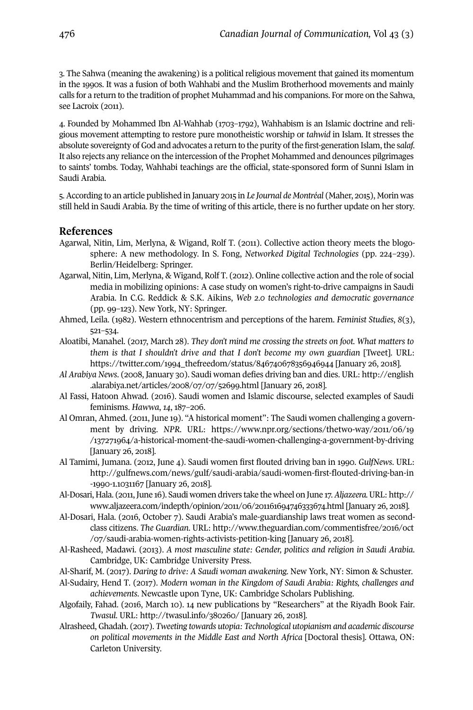<span id="page-15-0"></span>3. The Sahwa (meaning the awakening) is a political religious movement that gained its momentum in the 1990s. It was a fusion of both Wahhabi and the Muslim Brotherhood movements and mainly calls for a return to the tradition of prophet Muhammad and his companions. For more on the Sahwa, see Lacroix (2011).

<span id="page-15-1"></span>4. Founded by Mohammed Ibn Al-Wahhab (1703–1792), Wahhabism is an Islamic doctrine and religious movement attempting to restore pure monotheistic worship or *tahwid* in Islam. It stresses the absolute sovereignty of God and advocates a return to the purity of the first-generation Islam, the s*alaf*. It also rejects any reliance on the intercession of the Prophet Mohammed and denounces pilgrimages to saints' tombs. Today, Wahhabi teachings are the official, state-sponsored form of Sunni Islam in Saudi Arabia.

<span id="page-15-2"></span>5. According to an article published in January 2015 in *Le Journal de Montréal* (Maher, 2015), Morin was still held in Saudi Arabia. By the time of writing of this article, there is no further update on her story.

#### **References**

- Agarwal, Nitin, Lim, Merlyna, & Wigand, Rolf T. (2011). Collective action theory meets the blogosphere: A new methodology. In S. Fong, *Networked Digital Technologies* (pp. 224–239). Berlin/Heidelberg: Springer.
- Agarwal, Nitin, Lim, Merlyna, & Wigand, Rolf T. (2012). Online collective action and the role of social media in mobilizing opinions: A case study on women's right-to-drive campaigns in Saudi Arabia. In C.G. Reddick & S.K. Aikins, *Web 2.0 technologies and democratic governance*  (pp. 99–123). New York, NY: Springer.
- Ahmed, Leila. (1982). Western ethnocentrism and perceptions of the harem. *Feminist Studies*, *8*(3), 521–534.
- Aloatibi, Manahel. (2017, March 28). *They don't mind me crossing the streets on foot. What matters to them is that I shouldn't drive and that I don't become my own guardian* [Tweet]. URL: [https://twitter.com/1994\\_thefreedom/status/846740678356946944](https://twitter.com/1994_thefreedom/status/846740678356946944) [January 26, 2018].
- *Al Arabiya News*. (2008, January 30). Saudi woman defies driving ban and dies. URL: [http://english](http://english.alarabiya.net/articles/2008/07/07/52699.html)  [.alarabiya.net/articles/2008/07/07/52699.html](http://english.alarabiya.net/articles/2008/07/07/52699.html) [January 26, 2018].
- Al Fassi, Hatoon Ahwad. (2016). Saudi women and Islamic discourse, selected examples of Saudi feminisms. *Hawwa*, *14*, 187–206.
- Al Omran, Ahmed. (2011, June 19). "A historical moment": The Saudi women challenging a government by driving. *NPR.* URL: [https://www.npr.org/sections/thetwo-way/2011/06/19](https://www.npr.org/sections/thetwo-way/2011/06/19/137271964/a-historical-moment-the-saudi-women-challenging-a-government-by-driving)  [/137271964/a-historical-moment-the-saudi-women-challenging-a-government-by-driving](https://www.npr.org/sections/thetwo-way/2011/06/19/137271964/a-historical-moment-the-saudi-women-challenging-a-government-by-driving)  [January 26, 2018].
- Al Tamimi, Jumana. (2012, June 4). Saudi women first flouted driving ban in 1990. *GulfNews*. URL: [http://gulfnews.com/news/gulf/saudi-arabia/saudi-women-first-flouted-driving-ban-in](http://gulfnews.com/news/gulf/saudi-arabia/saudi-women-first-flouted-driving-ban-in-1990-1.1031167)  [-1990-1.1031167](http://gulfnews.com/news/gulf/saudi-arabia/saudi-women-first-flouted-driving-ban-in-1990-1.1031167) [January 26, 2018].
- Al-Dosari, Hala. (2011, June 16). Saudi women drivers take the wheel on June 17. *Aljazeera.* URL: [http://](http://www.aljazeera.com/indepth/opinion/2011/06/201161694746333674.html)  [www.aljazeera.com/indepth/opinion/2011/06/201161694746333674.html](http://www.aljazeera.com/indepth/opinion/2011/06/201161694746333674.html) [January 26, 2018].
- Al-Dosari, Hala. (2016, October 7). Saudi Arabia's male-guardianship laws treat women as secondclass citizens. *The Guardian*. URL: [http://www.theguardian.com/commentisfree/2016/oct](http://www.theguardian.com/commentisfree/2016/oct/07/saudi-arabia-women-rights-activists-petition-king)  [/07/saudi-arabia-women-rights-activists-petition-king](http://www.theguardian.com/commentisfree/2016/oct/07/saudi-arabia-women-rights-activists-petition-king) [January 26, 2018].
- Al-Rasheed, Madawi. (2013). *A most masculine state: Gender, politics and religion in Saudi Arabia*. Cambridge, UK: Cambridge University Press.
- Al-Sharif, M. (2017). *Daring to drive: A Saudi woman awakening.* New York, NY: Simon & Schuster.
- Al-Sudairy, Hend T. (2017). *Modern woman in the Kingdom of Saudi Arabia: Rights, challenges and achievements*. Newcastle upon Tyne, UK: Cambridge Scholars Publishing.
- Algofaily, Fahad. (2016, March 10). 14 new publications by "Researchers" at the Riyadh Book Fair. *Twasul.* URL:<http://twasul.info/380260/>[January 26, 2018].
- Alrasheed, Ghadah. (2017). *Tweeting towards utopia: Technological utopianism and academic discourse on political movements in the Middle East and North Africa* [Doctoral thesis]. Ottawa, ON: Carleton University.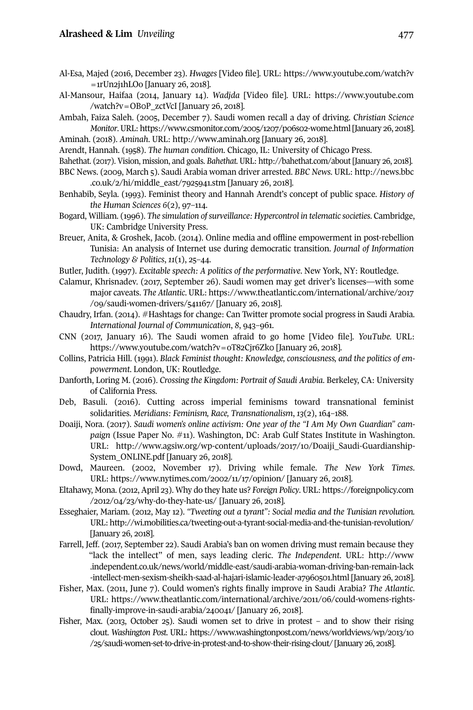#### **Alrasheed & Lim** *Unveiling* 477

- Al-Esa, Majed (2016, December 23). *Hwages* [Video file]. URL: [https://www.youtube.com/watch?v](https://www.youtube.com/watch?v=1rUn2j1hLOo)  [=1rUn2j1hLOo](https://www.youtube.com/watch?v=1rUn2j1hLOo) [January 26, 2018].
- Al-Mansour, Haifaa (2014, January 14). *Wadjda* [Video file]. URL: [https://www.youtube.com](https://www.youtube.com/watch?v=OB0P_zctVcI)  [/watch?v=OB0P\\_zctVcI](https://www.youtube.com/watch?v=OB0P_zctVcI) [January 26, 2018].
- Ambah, Faiza Saleh. (2005, December 7). Saudi women recall a day of driving. *Christian Science Monitor*. URL:<https://www.csmonitor.com/2005/1207/p06s02-wome.html>[January 26, 2018]. Aminah. (2018). *Aminah*. URL:<http://www.aminah.org>[January 26, 2018].
- Arendt, Hannah. (1958). *The human condition*. Chicago, IL: University of Chicago Press.
- Bahethat. (2017). Vision, mission, and goals. *Bahethat.* URL:<http://bahethat.com/about>[January 26, 2018].
- BBC News. (2009, March 5). Saudi Arabia woman driver arrested. *BBC News*. URL: [http://news.bbc](http://news.bbc.co.uk/2/hi/middle_east/7925941.stm)  [.co.uk/2/hi/middle\\_east/7925941.stm](http://news.bbc.co.uk/2/hi/middle_east/7925941.stm) [January 26, 2018].
- Benhabib, Seyla. (1993). Feminist theory and Hannah Arendt's concept of public space. *History of the Human Sciences 6*(2), 97–114.
- Bogard, William. (1996). *The simulation of surveillance: Hypercontrol in telematic societies*. Cambridge, UK: Cambridge University Press.
- Breuer, Anita, & Groshek, Jacob. (2014). Online media and offline empowerment in post-rebellion Tunisia: An analysis of Internet use during democratic transition. *Journal of Information Technology & Politics*, *11*(1), 25–44.
- Butler, Judith. (1997). *Excitable speech: A politics of the performative*. New York, NY: Routledge.
- Calamur, Khrisnadev. (2017, September 26). Saudi women may get driver's licenses—with some major caveats. *The Atlantic*. URL: [https://www.theatlantic.com/international/archive/2017](https://www.theatlantic.com/international/archive/2017/09/saudi-women-drivers/541167)  [/09/saudi-women-drivers/541167/](https://www.theatlantic.com/international/archive/2017/09/saudi-women-drivers/541167) [January 26, 2018].
- Chaudry, Irfan. (2014). #Hashtags for change: Can Twitter promote social progress in Saudi Arabia. *International Journal of Communication*, *8*, 943–961.
- CNN (2017, January 16). The Saudi women afraid to go home [Video file]. *YouTube.* URL: <https://www.youtube.com/watch?v=oT82Cjr6Zk0>[January 26, 2018].
- Collins, Patricia Hill. (1991). *Black Feminist thought: Knowledge, consciousness, and the politics of empowerment*. London, UK: Routledge.
- Danforth, Loring M. (2016). *Crossing the Kingdom: Portrait of Saudi Arabia*. Berkeley, CA: University of California Press.
- Deb, Basuli. (2016). Cutting across imperial feminisms toward transnational feminist solidarities. *Meridians: Feminism, Race, Transnationalism*, *13*(2), 164–188.
- Doaiji, Nora. (2017). *Saudi women's online activism: One year of the "I Am My Own Guardian" campaign* (Issue Paper No. #11). Washington, DC: Arab Gulf States Institute in Washington. URL: [http://www.agsiw.org/wp-content/uploads/2017/10/Doaiji\\_Saudi-Guardianship-](http://www.agsiw.org/wp-content/uploads/2017/10/Doaiji_Saudi-Guardianship-System_ONLINE.pdf)[System\\_ONLINE.pdf](http://www.agsiw.org/wp-content/uploads/2017/10/Doaiji_Saudi-Guardianship-System_ONLINE.pdf) [January 26, 2018].
- Dowd, Maureen. (2002, November 17). Driving while female. *The New York Times*. URL: <https://www.nytimes.com/2002/11/17/opinion/>[January 26, 2018].
- Eltahawy, Mona. (2012, April 23). Why do they hate us? *Foreign Policy*. URL: [https://foreignpolicy.com](https://foreignpolicy.com/2012/04/23/why-do-they-hate-us)  [/2012/04/23/why-do-they-hate-us/](https://foreignpolicy.com/2012/04/23/why-do-they-hate-us) [January 26, 2018].
- Esseghaier, Mariam. (2012, May 12). *"Tweeting out a tyrant": Social media and the Tunisian revolution.* URL: [http://wi.mobilities.ca/tweeting-out-a-tyrant-social-media-and-the-tunisian-revolution/](http://wi.mobilities.ca/tweeting-out-a-tyrant-social-media-and-the-tunisian-revolution) [January 26, 2018].
- Farrell, Jeff. (2017, September 22). Saudi Arabia's ban on women driving must remain because they "lack the intellect" of men, says leading cleric. *The Independent*. URL: [http://www](http://www.independent.co.uk/news/world/middle-east/saudi-arabia-woman-driving-ban-remain-lack-intellect-men-sexism-sheikh-saad-al-hajari-islamic-leader-a7960501.html)  [.independent.co.uk/news/world/middle-east/saudi-arabia-woman-driving-ban-remain-lack](http://www.independent.co.uk/news/world/middle-east/saudi-arabia-woman-driving-ban-remain-lack-intellect-men-sexism-sheikh-saad-al-hajari-islamic-leader-a7960501.html)  [-intellect-men-sexism-sheikh-saad-al-hajari-islamic-leader-a7960501.html](http://www.independent.co.uk/news/world/middle-east/saudi-arabia-woman-driving-ban-remain-lack-intellect-men-sexism-sheikh-saad-al-hajari-islamic-leader-a7960501.html) [January 26, 2018].
- Fisher, Max. (2011, June 7). Could women's rights finally improve in Saudi Arabia? *The Atlantic*. URL: [https://www.theatlantic.com/international/archive/2011/06/could-womens-rights](https://www.theatlantic.com/international/archive/2011/06/could-womens-rights-finally-improve-in-saudi-arabia/240041/)[finally-improve-in-saudi-arabia/240041/](https://www.theatlantic.com/international/archive/2011/06/could-womens-rights-finally-improve-in-saudi-arabia/240041/) [January 26, 2018].
- Fisher, Max. (2013, October 25). Saudi women set to drive in protest and to show their rising clout. *Washington Post*. URL: [https://www.washingtonpost.com/news/worldviews/wp/2013/10](https://www.washingtonpost.com/news/worldviews/wp/2013/10/25/saudi-women-set-to-drive-in-protest-and-to-show-their-rising-clout/)  [/25/saudi-women-set-to-drive-in-protest-and-to-show-their-rising-clout/](https://www.washingtonpost.com/news/worldviews/wp/2013/10/25/saudi-women-set-to-drive-in-protest-and-to-show-their-rising-clout/) [January 26, 2018].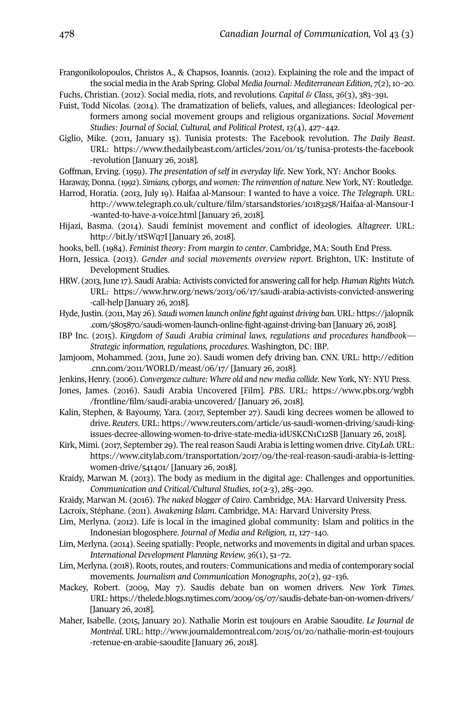Frangonikolopoulos, Christos A., & Chapsos, Ioannis. (2012). Explaining the role and the impact of the social media in the Arab Spring. *Global Media Journal: Mediterranean Edition*, *7*(2), 10–20.

Fuchs, Christian. (2012). Social media, riots, and revolutions. *Capital & Class*, *36*(3), 383–391.

- Fuist, Todd Nicolas. (2014). The dramatization of beliefs, values, and allegiances: Ideological performers among social movement groups and religious organizations. *Social Movement Studies: Journal of Social, Cultural, and Political Protest*, *13(*4), 427–442.
- Giglio, Mike. (2011, January 15). Tunisia protests: The Facebook revolution. *The Daily Beast*. URL: [https://www.thedailybeast.com/articles/2011/01/15/tunisa-protests-the-facebook](https://www.thedailybeast.com/articles/2011/01/15/tunisa-protests-the-facebook-revolution)  [-revolution](https://www.thedailybeast.com/articles/2011/01/15/tunisa-protests-the-facebook-revolution) [January 26, 2018].

Goffman, Erving. (1959). *The presentation of self in everyday life*. New York, NY: Anchor Books.

- Haraway, Donna. (1992). *Simians, cyborgs, and women: The reinvention of nature.* New York, NY: Routledge.
- Harrod, Horatia. (2013, July 19). Haifaa al-Mansour: I wanted to have a voice. *The Telegraph.* URL: [http://www.telegraph.co.uk/culture/film/starsandstories/10183258/Haifaa-al-Mansour-I](http://www.telegraph.co.uk/culture/film/starsandstories/10183258/Haifaa-al-Mansour-I-wanted-to-have-a-voice.html)  [-wanted-to-have-a-voice.html](http://www.telegraph.co.uk/culture/film/starsandstories/10183258/Haifaa-al-Mansour-I-wanted-to-have-a-voice.html) [January 26, 2018].
- Hijazi, Basma. (2014). Saudi feminist movement and conflict of ideologies. *Altagreer*. URL: <http://bit.ly/1tSWq7I>[January 26, 2018].
- hooks, bell. (1984). *Feminist theory: From margin to center*. Cambridge, MA: South End Press.
- Horn, Jessica. (2013). *Gender and social movements overview report*. Brighton, UK: Institute of Development Studies.
- HRW. (2013, June 17). Saudi Arabia: Activists convicted for answering call for help. *Human Rights Watch.* URL: [https://www.hrw.org/news/2013/06/17/saudi-arabia-activists-convicted-answering](https://www.hrw.org/news/2013/06/17/saudi-arabia-activists-convicted-answering-call-help)  [-call-help](https://www.hrw.org/news/2013/06/17/saudi-arabia-activists-convicted-answering-call-help) [January 26, 2018].
- Hyde, Justin. (2011, May 26). *Saudi women launch online fight against driving ban.* URL: [https://jalopnik](https://jalopnik.com/5805870/saudi-women-launch-online-fight-against-driving-ban)  [.com/5805870/saudi-women-launch-online-fight-against-driving-ban](https://jalopnik.com/5805870/saudi-women-launch-online-fight-against-driving-ban) [January 26, 2018].
- IBP Inc. (2015). *Kingdom of Saudi Arabia criminal laws, regulations and procedures handbook— Strategic information, regulations, procedures*. Washington, DC: IBP.
- Jamjoom, Mohammed. (2011, June 20). Saudi women defy driving ban. *CNN.* URL: [http://edition](http://edition.cnn.com/2011/WORLD/meast/06/17/)  [.cnn.com/2011/WORLD/meast/06/17/](http://edition.cnn.com/2011/WORLD/meast/06/17/) [January 26, 2018].
- Jenkins, Henry. (2006). *Convergence culture: Where old and new media collide*. New York, NY: NYU Press.
- Jones, James. (2016). Saudi Arabia Uncovered [Film]. *PBS.* URL: [https://www.pbs.org/wgbh](https://www.pbs.org/wgbh/frontline/film/saudi-arabia-uncovered/)  [/frontline/film/saudi-arabia-uncovered/](https://www.pbs.org/wgbh/frontline/film/saudi-arabia-uncovered/) [January 26, 2018].
- Kalin, Stephen, & Bayoumy, Yara. (2017, September 27). Saudi king decrees women be allowed to drive. *Reuters*. URL: [https://www.reuters.com/article/us-saudi-women-driving/saudi-king](https://www.reuters.com/article/us-saudi-women-driving/saudi-king-issues-decree-allowing-women-to-drive-state-media-idUSKCN1C12SB)[issues-decree-allowing-women-to-drive-state-media-idUSKCN1C12SB](https://www.reuters.com/article/us-saudi-women-driving/saudi-king-issues-decree-allowing-women-to-drive-state-media-idUSKCN1C12SB) [January 26, 2018].
- Kirk, Mimi. (2017, September 29). The real reason Saudi Arabia is letting women drive. *CityLab.* URL: [https://www.citylab.com/transportation/2017/09/the-real-reason-saudi-arabia-is-letting](https://www.citylab.com/transportation/2017/09/the-real-reason-saudi-arabia-is-letting-women-drive/541401/)[women-drive/541401/](https://www.citylab.com/transportation/2017/09/the-real-reason-saudi-arabia-is-letting-women-drive/541401/) [January 26, 2018].
- Kraidy, Marwan M. (2013). The body as medium in the digital age: Challenges and opportunities. *Communication and Critical/Cultural Studies*, *10*(2-3), 285–290.
- Kraidy, Marwan M. (2016). *The naked blogger of Cairo*. Cambridge, MA: Harvard University Press.
- Lacroix, Stéphane. (2011). *Awakening Islam*. Cambridge, MA: Harvard University Press.
- Lim, Merlyna. (2012). Life is local in the imagined global community: Islam and politics in the Indonesian blogosphere. *Journal of Media and Religion, 11*, 127–140.
- Lim, Merlyna. (2014). Seeing spatially: People, networks and movements in digital and urban spaces. *International Development Planning Review, 36*(1), 51–72.
- Lim, Merlyna. (2018). Roots, routes, and routers: Communications and media of contemporary social movements. *Journalism and Communication Monographs*, *20*(2), 92–136.
- Mackey, Robert. (2009, May 7). Saudis debate ban on women drivers. *New York Times.*  URL: [https://thelede.blogs.nytimes.com/2009/05/07/saudis-debate-ban-on-women-drivers/](https://thelede.blogs.nytimes.com/2009/05/07/saudis-debate-ban-on-women-drivers) [January 26, 2018].
- Maher, Isabelle. (2015, January 20). Nathalie Morin est toujours en Arabie Saoudite. *Le Journal de Montréal*. URL: [http://www.journaldemontreal.com/2015/01/20/nathalie-morin-est-toujours](http://www.journaldemontreal.com/2015/01/20/nathalie-morin-est-toujours-retenue-en-arabie-saoudite) [-retenue-en-arabie-saoudite](http://www.journaldemontreal.com/2015/01/20/nathalie-morin-est-toujours-retenue-en-arabie-saoudite) [January 26, 2018].